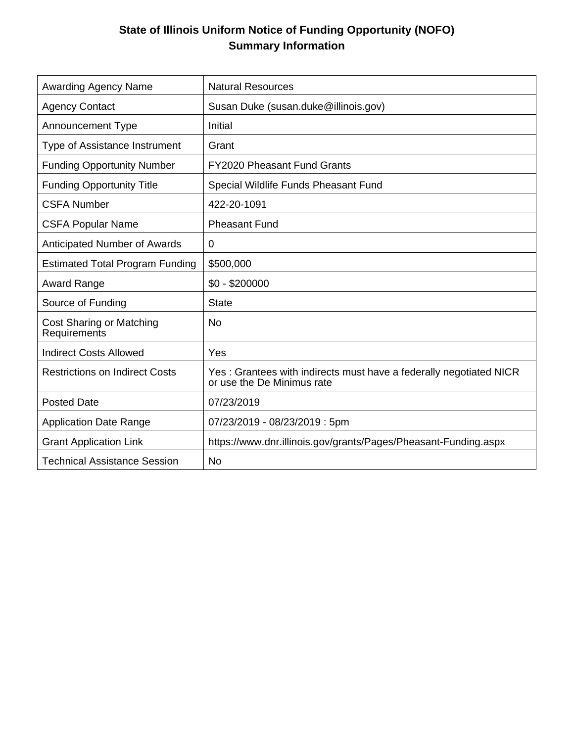## **State of Illinois Uniform Notice of Funding Opportunity (NOFO) Summary Information**

| <b>Awarding Agency Name</b>              | <b>Natural Resources</b>                                                                         |
|------------------------------------------|--------------------------------------------------------------------------------------------------|
| <b>Agency Contact</b>                    | Susan Duke (susan.duke@illinois.gov)                                                             |
| <b>Announcement Type</b>                 | Initial                                                                                          |
| Type of Assistance Instrument            | Grant                                                                                            |
| <b>Funding Opportunity Number</b>        | <b>FY2020 Pheasant Fund Grants</b>                                                               |
| <b>Funding Opportunity Title</b>         | Special Wildlife Funds Pheasant Fund                                                             |
| <b>CSFA Number</b>                       | 422-20-1091                                                                                      |
| <b>CSFA Popular Name</b>                 | <b>Pheasant Fund</b>                                                                             |
| <b>Anticipated Number of Awards</b>      | $\mathbf 0$                                                                                      |
| <b>Estimated Total Program Funding</b>   | \$500,000                                                                                        |
| <b>Award Range</b>                       | $$0 - $200000$                                                                                   |
| Source of Funding                        | <b>State</b>                                                                                     |
| Cost Sharing or Matching<br>Requirements | No                                                                                               |
| <b>Indirect Costs Allowed</b>            | Yes                                                                                              |
| <b>Restrictions on Indirect Costs</b>    | Yes: Grantees with indirects must have a federally negotiated NICR<br>or use the De Minimus rate |
| <b>Posted Date</b>                       | 07/23/2019                                                                                       |
| <b>Application Date Range</b>            | 07/23/2019 - 08/23/2019 : 5pm                                                                    |
| <b>Grant Application Link</b>            | https://www.dnr.illinois.gov/grants/Pages/Pheasant-Funding.aspx                                  |
| <b>Technical Assistance Session</b>      | <b>No</b>                                                                                        |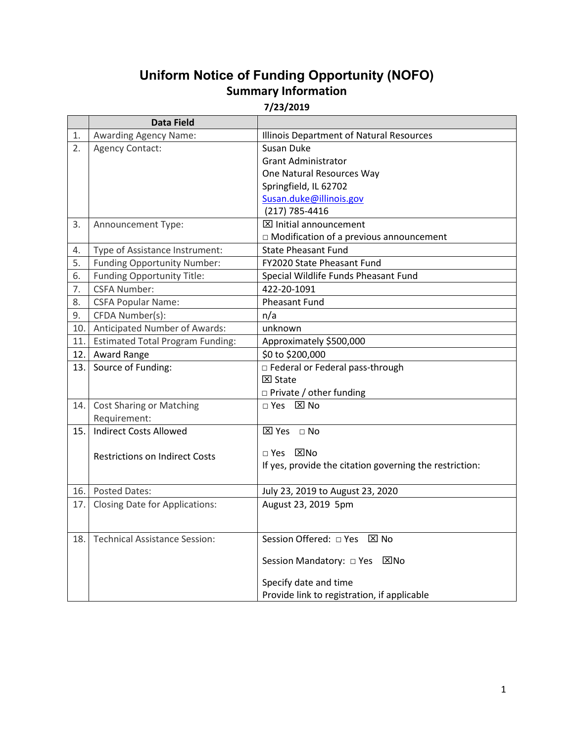# **Uniform Notice of Funding Opportunity (NOFO) Summary Information**

**7/23/2019**

|     | <b>Data Field</b>                       |                                                         |
|-----|-----------------------------------------|---------------------------------------------------------|
| 1.  | <b>Awarding Agency Name:</b>            | Illinois Department of Natural Resources                |
| 2.  | <b>Agency Contact:</b>                  | Susan Duke                                              |
|     |                                         | <b>Grant Administrator</b>                              |
|     |                                         | One Natural Resources Way                               |
|     |                                         | Springfield, IL 62702                                   |
|     |                                         | Susan.duke@illinois.gov                                 |
|     |                                         | (217) 785-4416                                          |
| 3.  | Announcement Type:                      | <b>⊠</b> Initial announcement                           |
|     |                                         | $\Box$ Modification of a previous announcement          |
| 4.  | Type of Assistance Instrument:          | <b>State Pheasant Fund</b>                              |
| 5.  | <b>Funding Opportunity Number:</b>      | FY2020 State Pheasant Fund                              |
| 6.  | Funding Opportunity Title:              | Special Wildlife Funds Pheasant Fund                    |
| 7.  | <b>CSFA Number:</b>                     | 422-20-1091                                             |
| 8.  | <b>CSFA Popular Name:</b>               | <b>Pheasant Fund</b>                                    |
| 9.  | CFDA Number(s):                         | n/a                                                     |
| 10. | Anticipated Number of Awards:           | unknown                                                 |
| 11. | <b>Estimated Total Program Funding:</b> | Approximately \$500,000                                 |
| 12. | Award Range                             | \$0 to \$200,000                                        |
| 13. | Source of Funding:                      | □ Federal or Federal pass-through                       |
|     |                                         | $\boxtimes$ State                                       |
|     |                                         | □ Private / other funding                               |
| 14. | <b>Cost Sharing or Matching</b>         | □ Yes ⊠ No                                              |
|     | Requirement:                            |                                                         |
| 15. | <b>Indirect Costs Allowed</b>           | $\boxtimes$ Yes $\Box$ No                               |
|     |                                         |                                                         |
|     | <b>Restrictions on Indirect Costs</b>   | □ Yes ⊠No                                               |
|     |                                         | If yes, provide the citation governing the restriction: |
|     |                                         |                                                         |
| 16. | <b>Posted Dates:</b>                    | July 23, 2019 to August 23, 2020                        |
| 17. | <b>Closing Date for Applications:</b>   | August 23, 2019 5pm                                     |
|     |                                         |                                                         |
| 18. | <b>Technical Assistance Session:</b>    | Session Offered: □ Yes ⊠ No                             |
|     |                                         |                                                         |
|     |                                         | Session Mandatory: □ Yes ⊠No                            |
|     |                                         |                                                         |
|     |                                         | Specify date and time                                   |
|     |                                         | Provide link to registration, if applicable             |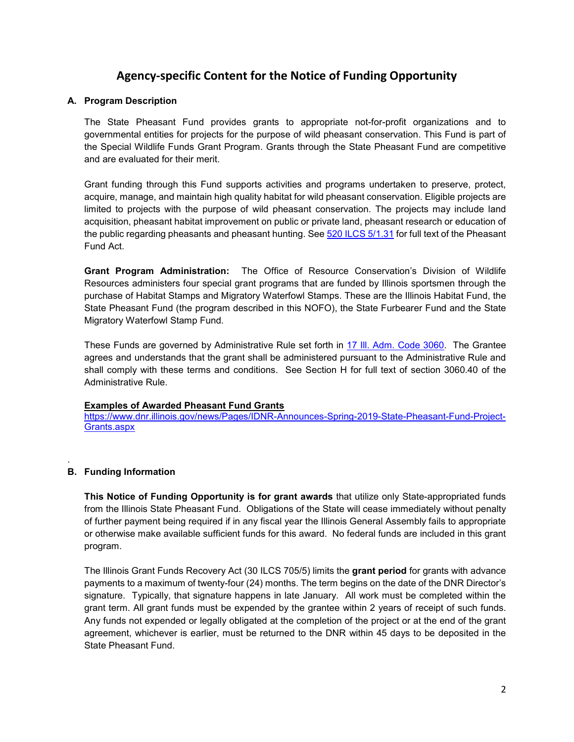## **Agency-specific Content for the Notice of Funding Opportunity**

### **A. Program Description**

The State Pheasant Fund provides grants to appropriate not-for-profit organizations and to governmental entities for projects for the purpose of wild pheasant conservation. This Fund is part of the Special Wildlife Funds Grant Program. Grants through the State Pheasant Fund are competitive and are evaluated for their merit.

Grant funding through this Fund supports activities and programs undertaken to preserve, protect, acquire, manage, and maintain high quality habitat for wild pheasant conservation. Eligible projects are limited to projects with the purpose of wild pheasant conservation. The projects may include land acquisition, pheasant habitat improvement on public or private land, pheasant research or education of the public regarding pheasants and pheasant hunting. See 520 ILCS 5/1.31 for full text of the Pheasant Fund Act.

**Grant Program Administration:** The Office of Resource Conservation's Division of Wildlife Resources administers four special grant programs that are funded by Illinois sportsmen through the purchase of Habitat Stamps and Migratory Waterfowl Stamps. These are the Illinois Habitat Fund, the State Pheasant Fund (the program described in this NOFO), the State Furbearer Fund and the State Migratory Waterfowl Stamp Fund.

These Funds are governed by Administrative Rule set forth in 17 III. Adm. Code 3060. The Grantee agrees and understands that the grant shall be administered pursuant to the Administrative Rule and shall comply with these terms and conditions. See Section H for full text of section 3060.40 of the Administrative Rule.

#### **Examples of Awarded Pheasant Fund Grants**

https://www.dnr.illinois.gov/news/Pages/IDNR-Announces-Spring-2019-State-Pheasant-Fund-Project-Grants.aspx

### **B. Funding Information**

.

**This Notice of Funding Opportunity is for grant awards** that utilize only State-appropriated funds from the Illinois State Pheasant Fund. Obligations of the State will cease immediately without penalty of further payment being required if in any fiscal year the Illinois General Assembly fails to appropriate or otherwise make available sufficient funds for this award. No federal funds are included in this grant program.

The Illinois Grant Funds Recovery Act (30 ILCS 705/5) limits the **grant period** for grants with advance payments to a maximum of twenty-four (24) months. The term begins on the date of the DNR Director's signature. Typically, that signature happens in late January. All work must be completed within the grant term. All grant funds must be expended by the grantee within 2 years of receipt of such funds. Any funds not expended or legally obligated at the completion of the project or at the end of the grant agreement, whichever is earlier, must be returned to the DNR within 45 days to be deposited in the State Pheasant Fund.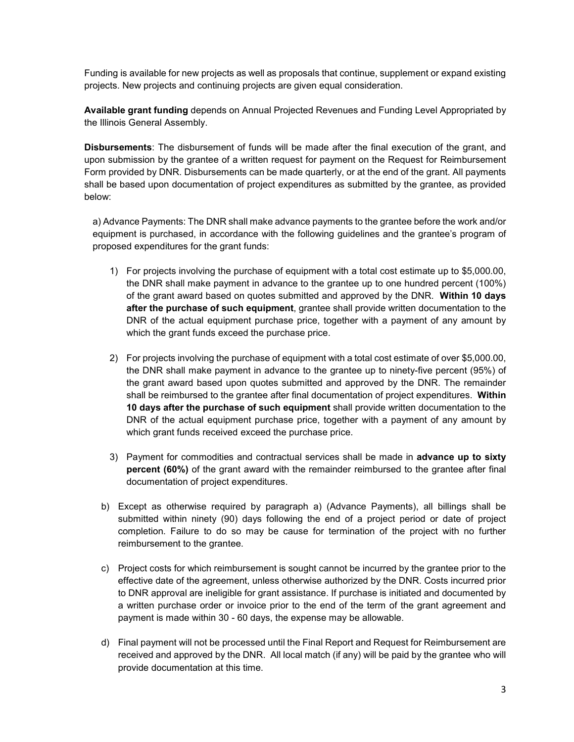Funding is available for new projects as well as proposals that continue, supplement or expand existing projects. New projects and continuing projects are given equal consideration.

**Available grant funding** depends on Annual Projected Revenues and Funding Level Appropriated by the Illinois General Assembly.

**Disbursements**: The disbursement of funds will be made after the final execution of the grant, and upon submission by the grantee of a written request for payment on the Request for Reimbursement Form provided by DNR. Disbursements can be made quarterly, or at the end of the grant. All payments shall be based upon documentation of project expenditures as submitted by the grantee, as provided below:

a) Advance Payments: The DNR shall make advance payments to the grantee before the work and/or equipment is purchased, in accordance with the following guidelines and the grantee's program of proposed expenditures for the grant funds:

- 1) For projects involving the purchase of equipment with a total cost estimate up to \$5,000.00, the DNR shall make payment in advance to the grantee up to one hundred percent (100%) of the grant award based on quotes submitted and approved by the DNR. **Within 10 days after the purchase of such equipment**, grantee shall provide written documentation to the DNR of the actual equipment purchase price, together with a payment of any amount by which the grant funds exceed the purchase price.
- 2) For projects involving the purchase of equipment with a total cost estimate of over \$5,000.00, the DNR shall make payment in advance to the grantee up to ninety-five percent (95%) of the grant award based upon quotes submitted and approved by the DNR. The remainder shall be reimbursed to the grantee after final documentation of project expenditures. **Within 10 days after the purchase of such equipment** shall provide written documentation to the DNR of the actual equipment purchase price, together with a payment of any amount by which grant funds received exceed the purchase price.
- 3) Payment for commodities and contractual services shall be made in **advance up to sixty percent (60%)** of the grant award with the remainder reimbursed to the grantee after final documentation of project expenditures.
- b) Except as otherwise required by paragraph a) (Advance Payments), all billings shall be submitted within ninety (90) days following the end of a project period or date of project completion. Failure to do so may be cause for termination of the project with no further reimbursement to the grantee.
- c) Project costs for which reimbursement is sought cannot be incurred by the grantee prior to the effective date of the agreement, unless otherwise authorized by the DNR. Costs incurred prior to DNR approval are ineligible for grant assistance. If purchase is initiated and documented by a written purchase order or invoice prior to the end of the term of the grant agreement and payment is made within 30 - 60 days, the expense may be allowable.
- d) Final payment will not be processed until the Final Report and Request for Reimbursement are received and approved by the DNR. All local match (if any) will be paid by the grantee who will provide documentation at this time.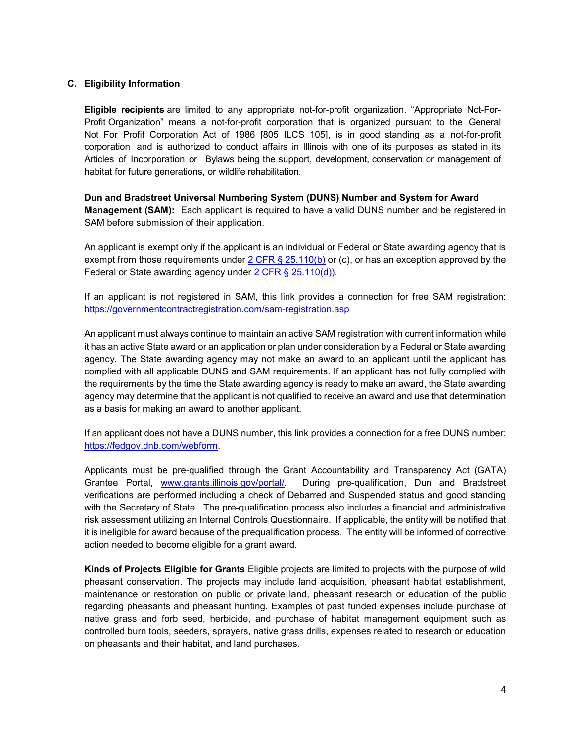### **C. Eligibility Information**

**Eligible recipients** are limited to any appropriate not-for-profit organization. "Appropriate Not-For-Profit Organization" means a not-for-profit corporation that is organized pursuant to the General Not For Profit Corporation Act of 1986 [805 ILCS 105], is in good standing as a not-for-profit corporation and is authorized to conduct affairs in Illinois with one of its purposes as stated in its Articles of Incorporation or Bylaws being the support, development, conservation or management of habitat for future generations, or wildlife rehabilitation.

**Dun and Bradstreet Universal Numbering System (DUNS) Number and System for Award Management (SAM):** Each applicant is required to have a valid DUNS number and be registered in SAM before submission of their application.

An applicant is exempt only if the applicant is an individual or Federal or State awarding agency that is exempt from those requirements under  $2$  CFR § 25.110(b) or (c), or has an exception approved by the Federal or State awarding agency under 2 CFR § 25.110(d)).

If an applicant is not registered in SAM, this link provides a connection for free SAM registration: https://governmentcontractregistration.com/sam-registration.asp

An applicant must always continue to maintain an active SAM registration with current information while it has an active State award or an application or plan under consideration by a Federal or State awarding agency. The State awarding agency may not make an award to an applicant until the applicant has complied with all applicable DUNS and SAM requirements. If an applicant has not fully complied with the requirements by the time the State awarding agency is ready to make an award, the State awarding agency may determine that the applicant is not qualified to receive an award and use that determination as a basis for making an award to another applicant.

If an applicant does not have a DUNS number, this link provides a connection for a free DUNS number: https://fedgov.dnb.com/webform.

Applicants must be pre-qualified through the Grant Accountability and Transparency Act (GATA) Grantee Portal, www.grants.illinois.gov/portal/. During pre-qualification, Dun and Bradstreet verifications are performed including a check of Debarred and Suspended status and good standing with the Secretary of State. The pre-qualification process also includes a financial and administrative risk assessment utilizing an Internal Controls Questionnaire. If applicable, the entity will be notified that it is ineligible for award because of the prequalification process. The entity will be informed of corrective action needed to become eligible for a grant award.

**Kinds of Projects Eligible for Grants** Eligible projects are limited to projects with the purpose of wild pheasant conservation. The projects may include land acquisition, pheasant habitat establishment, maintenance or restoration on public or private land, pheasant research or education of the public regarding pheasants and pheasant hunting. Examples of past funded expenses include purchase of native grass and forb seed, herbicide, and purchase of habitat management equipment such as controlled burn tools, seeders, sprayers, native grass drills, expenses related to research or education on pheasants and their habitat, and land purchases.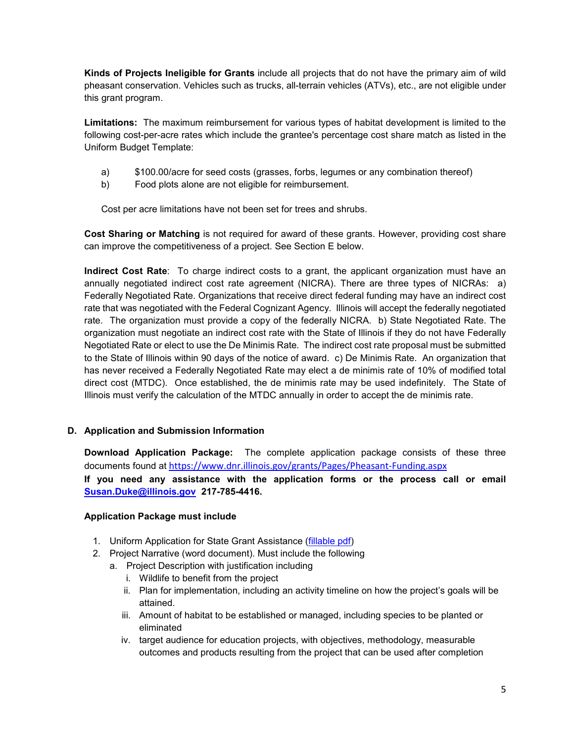**Kinds of Projects Ineligible for Grants** include all projects that do not have the primary aim of wild pheasant conservation. Vehicles such as trucks, all-terrain vehicles (ATVs), etc., are not eligible under this grant program.

**Limitations:** The maximum reimbursement for various types of habitat development is limited to the following cost-per-acre rates which include the grantee's percentage cost share match as listed in the Uniform Budget Template:

- a) \$100.00/acre for seed costs (grasses, forbs, legumes or any combination thereof)
- b) Food plots alone are not eligible for reimbursement.

Cost per acre limitations have not been set for trees and shrubs.

**Cost Sharing or Matching** is not required for award of these grants. However, providing cost share can improve the competitiveness of a project. See Section E below.

**Indirect Cost Rate**: To charge indirect costs to a grant, the applicant organization must have an annually negotiated indirect cost rate agreement (NICRA). There are three types of NICRAs: a) Federally Negotiated Rate. Organizations that receive direct federal funding may have an indirect cost rate that was negotiated with the Federal Cognizant Agency. Illinois will accept the federally negotiated rate. The organization must provide a copy of the federally NICRA. b) State Negotiated Rate. The organization must negotiate an indirect cost rate with the State of Illinois if they do not have Federally Negotiated Rate or elect to use the De Minimis Rate. The indirect cost rate proposal must be submitted to the State of Illinois within 90 days of the notice of award. c) De Minimis Rate. An organization that has never received a Federally Negotiated Rate may elect a de minimis rate of 10% of modified total direct cost (MTDC). Once established, the de minimis rate may be used indefinitely. The State of Illinois must verify the calculation of the MTDC annually in order to accept the de minimis rate.

### **D. Application and Submission Information**

**Download Application Package:** The complete application package consists of these three documents found at https://www.dnr.illinois.gov/grants/Pages/Pheasant-Funding.aspx **If you need any assistance with the application forms or the process call or email** 

**Susan.Duke@illinois.gov 217-785-4416.** 

### **Application Package must include**

- 1. Uniform Application for State Grant Assistance (fillable pdf)
- 2. Project Narrative (word document). Must include the following
	- a. Project Description with justification including
		- i. Wildlife to benefit from the project
		- ii. Plan for implementation, including an activity timeline on how the project's goals will be attained.
		- iii. Amount of habitat to be established or managed, including species to be planted or eliminated
		- iv. target audience for education projects, with objectives, methodology, measurable outcomes and products resulting from the project that can be used after completion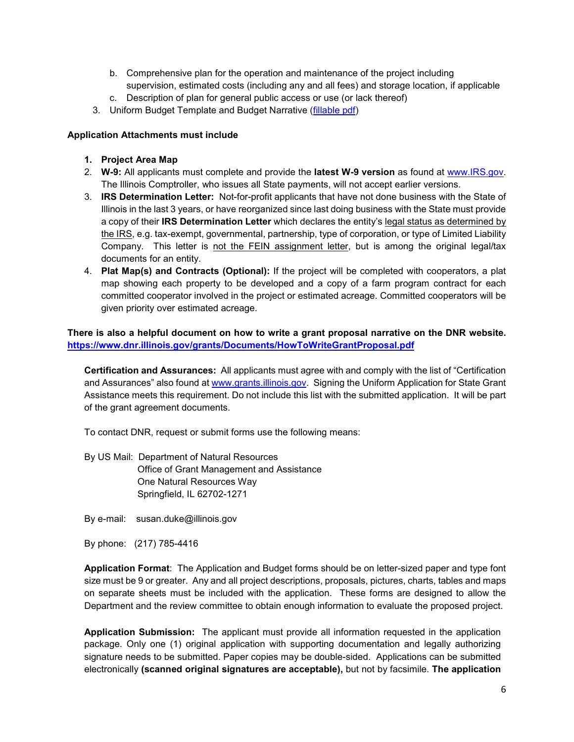- b. Comprehensive plan for the operation and maintenance of the project including supervision, estimated costs (including any and all fees) and storage location, if applicable
- c. Description of plan for general public access or use (or lack thereof)
- 3. Uniform Budget Template and Budget Narrative (fillable pdf)

### **Application Attachments must include**

- **1. Project Area Map**
- 2. **W-9:** All applicants must complete and provide the **latest W-9 version** as found at www.IRS.gov. The Illinois Comptroller, who issues all State payments, will not accept earlier versions.
- 3. **IRS Determination Letter:** Not-for-profit applicants that have not done business with the State of Illinois in the last 3 years, or have reorganized since last doing business with the State must provide a copy of their **IRS Determination Letter** which declares the entity's legal status as determined by the IRS, e.g. tax-exempt, governmental, partnership, type of corporation, or type of Limited Liability Company. This letter is not the FEIN assignment letter, but is among the original legal/tax documents for an entity.
- 4. **Plat Map(s) and Contracts (Optional):** If the project will be completed with cooperators, a plat map showing each property to be developed and a copy of a farm program contract for each committed cooperator involved in the project or estimated acreage. Committed cooperators will be given priority over estimated acreage.

**There is also a helpful document on how to write a grant proposal narrative on the DNR website. https://www.dnr.illinois.gov/grants/Documents/HowToWriteGrantProposal.pdf**

**Certification and Assurances:** All applicants must agree with and comply with the list of "Certification and Assurances" also found at www.grants.illinois.gov. Signing the Uniform Application for State Grant Assistance meets this requirement. Do not include this list with the submitted application. It will be part of the grant agreement documents.

To contact DNR, request or submit forms use the following means:

By US Mail: Department of Natural Resources Office of Grant Management and Assistance One Natural Resources Way Springfield, IL 62702-1271

By e-mail: susan.duke@illinois.gov

By phone: (217) 785-4416

**Application Format**: The Application and Budget forms should be on letter-sized paper and type font size must be 9 or greater. Any and all project descriptions, proposals, pictures, charts, tables and maps on separate sheets must be included with the application. These forms are designed to allow the Department and the review committee to obtain enough information to evaluate the proposed project.

**Application Submission:** The applicant must provide all information requested in the application package. Only one (1) original application with supporting documentation and legally authorizing signature needs to be submitted. Paper copies may be double-sided. Applications can be submitted electronically **(scanned original signatures are acceptable),** but not by facsimile. **The application**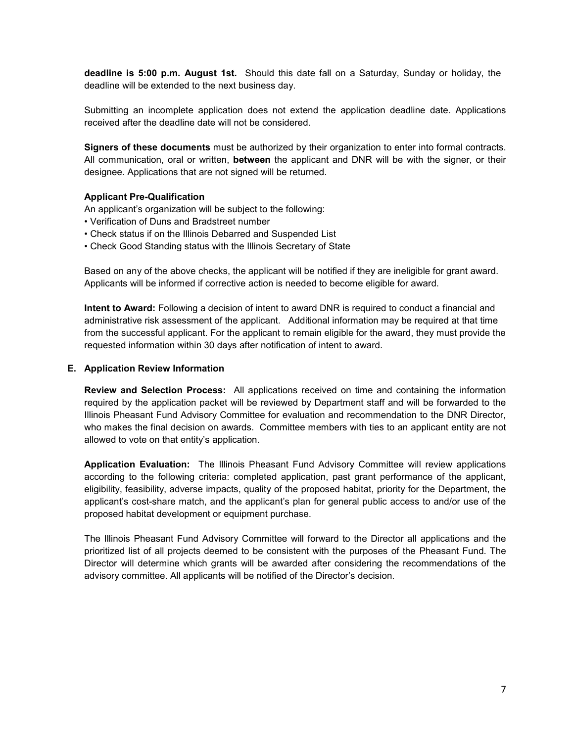**deadline is 5:00 p.m. August 1st.** Should this date fall on a Saturday, Sunday or holiday, the deadline will be extended to the next business day.

Submitting an incomplete application does not extend the application deadline date. Applications received after the deadline date will not be considered.

**Signers of these documents** must be authorized by their organization to enter into formal contracts. All communication, oral or written, **between** the applicant and DNR will be with the signer, or their designee. Applications that are not signed will be returned.

### **Applicant Pre-Qualification**

An applicant's organization will be subject to the following:

- Verification of Duns and Bradstreet number
- Check status if on the Illinois Debarred and Suspended List
- Check Good Standing status with the Illinois Secretary of State

Based on any of the above checks, the applicant will be notified if they are ineligible for grant award. Applicants will be informed if corrective action is needed to become eligible for award.

**Intent to Award:** Following a decision of intent to award DNR is required to conduct a financial and administrative risk assessment of the applicant. Additional information may be required at that time from the successful applicant. For the applicant to remain eligible for the award, they must provide the requested information within 30 days after notification of intent to award.

#### **E. Application Review Information**

**Review and Selection Process:** All applications received on time and containing the information required by the application packet will be reviewed by Department staff and will be forwarded to the Illinois Pheasant Fund Advisory Committee for evaluation and recommendation to the DNR Director, who makes the final decision on awards. Committee members with ties to an applicant entity are not allowed to vote on that entity's application.

**Application Evaluation:** The Illinois Pheasant Fund Advisory Committee will review applications according to the following criteria: completed application, past grant performance of the applicant, eligibility, feasibility, adverse impacts, quality of the proposed habitat, priority for the Department, the applicant's cost-share match, and the applicant's plan for general public access to and/or use of the proposed habitat development or equipment purchase.

The Illinois Pheasant Fund Advisory Committee will forward to the Director all applications and the prioritized list of all projects deemed to be consistent with the purposes of the Pheasant Fund. The Director will determine which grants will be awarded after considering the recommendations of the advisory committee. All applicants will be notified of the Director's decision.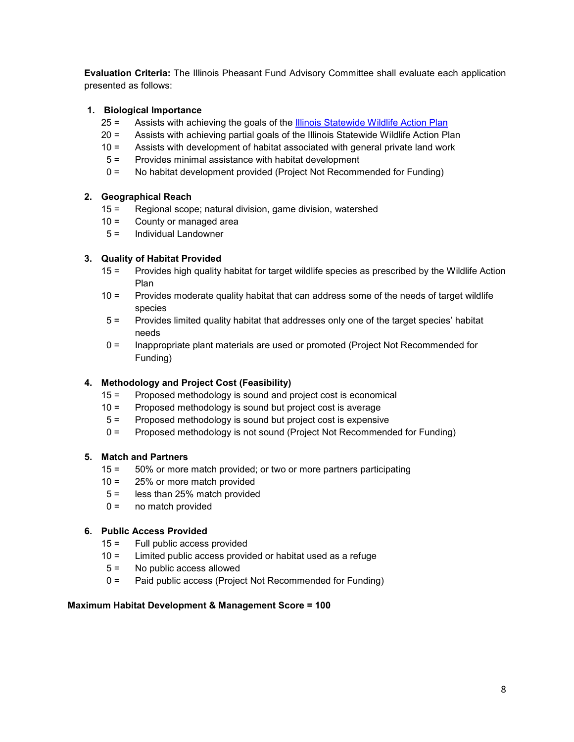**Evaluation Criteria:** The Illinois Pheasant Fund Advisory Committee shall evaluate each application presented as follows:

### **1. Biological Importance**

- 25 = Assists with achieving the goals of the **Illinois Statewide Wildlife Action Plan**
- 20 = Assists with achieving partial goals of the Illinois Statewide Wildlife Action Plan
- 10 = Assists with development of habitat associated with general private land work
- 5 = Provides minimal assistance with habitat development
- 0 = No habitat development provided (Project Not Recommended for Funding)

### **2. Geographical Reach**

- 15 = Regional scope; natural division, game division, watershed
- 10 = County or managed area
- 5 = Individual Landowner

### **3. Quality of Habitat Provided**

- 15 = Provides high quality habitat for target wildlife species as prescribed by the Wildlife Action Plan
- 10 = Provides moderate quality habitat that can address some of the needs of target wildlife species
- 5 = Provides limited quality habitat that addresses only one of the target species' habitat needs
- 0 = Inappropriate plant materials are used or promoted (Project Not Recommended for Funding)

### **4. Methodology and Project Cost (Feasibility)**

- 15 = Proposed methodology is sound and project cost is economical
- 10 = Proposed methodology is sound but project cost is average
- 5 = Proposed methodology is sound but project cost is expensive
- 0 = Proposed methodology is not sound (Project Not Recommended for Funding)

### **5. Match and Partners**

- 15 = 50% or more match provided; or two or more partners participating
- 10 = 25% or more match provided
- 5 = less than 25% match provided
- $0 =$  no match provided

### **6. Public Access Provided**

- 15 = Full public access provided
- 10 = Limited public access provided or habitat used as a refuge
- 5 = No public access allowed
- 0 = Paid public access (Project Not Recommended for Funding)

### **Maximum Habitat Development & Management Score = 100**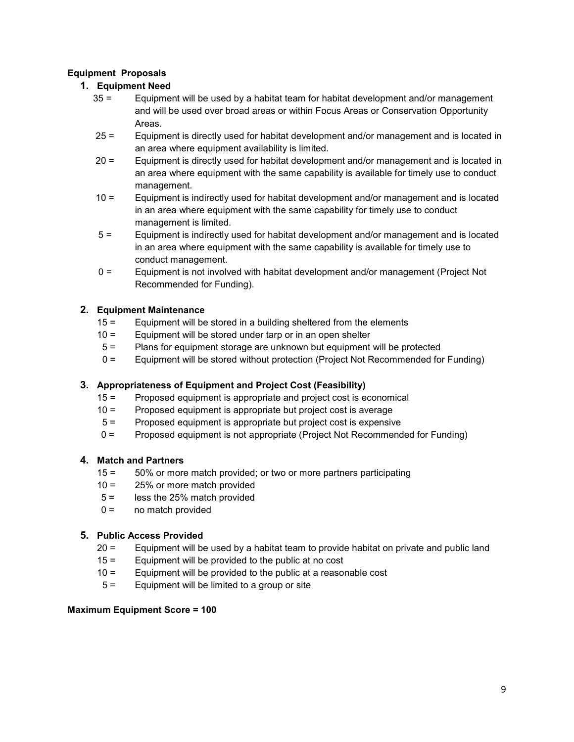### **Equipment Proposals**

### **1. Equipment Need**

- 35 = Equipment will be used by a habitat team for habitat development and/or management and will be used over broad areas or within Focus Areas or Conservation Opportunity Areas.
- 25 = Equipment is directly used for habitat development and/or management and is located in an area where equipment availability is limited.
- 20 = Equipment is directly used for habitat development and/or management and is located in an area where equipment with the same capability is available for timely use to conduct management.
- 10 = Equipment is indirectly used for habitat development and/or management and is located in an area where equipment with the same capability for timely use to conduct management is limited.
- 5 = Equipment is indirectly used for habitat development and/or management and is located in an area where equipment with the same capability is available for timely use to conduct management.
- 0 = Equipment is not involved with habitat development and/or management (Project Not Recommended for Funding).

### **2. Equipment Maintenance**

- 15 = Equipment will be stored in a building sheltered from the elements
- 10 = Equipment will be stored under tarp or in an open shelter
- 5 = Plans for equipment storage are unknown but equipment will be protected
- 0 = Equipment will be stored without protection (Project Not Recommended for Funding)

### **3. Appropriateness of Equipment and Project Cost (Feasibility)**

- 15 = Proposed equipment is appropriate and project cost is economical
- 10 = Proposed equipment is appropriate but project cost is average
- 5 = Proposed equipment is appropriate but project cost is expensive
- 0 = Proposed equipment is not appropriate (Project Not Recommended for Funding)

### **4. Match and Partners**

- 15 = 50% or more match provided; or two or more partners participating
- 10 = 25% or more match provided
- 5 = less the 25% match provided
- 0 = no match provided

### **5. Public Access Provided**

- 20 = Equipment will be used by a habitat team to provide habitat on private and public land
- 15 = Equipment will be provided to the public at no cost
- 10 = Equipment will be provided to the public at a reasonable cost
- 5 = Equipment will be limited to a group or site

### **Maximum Equipment Score = 100**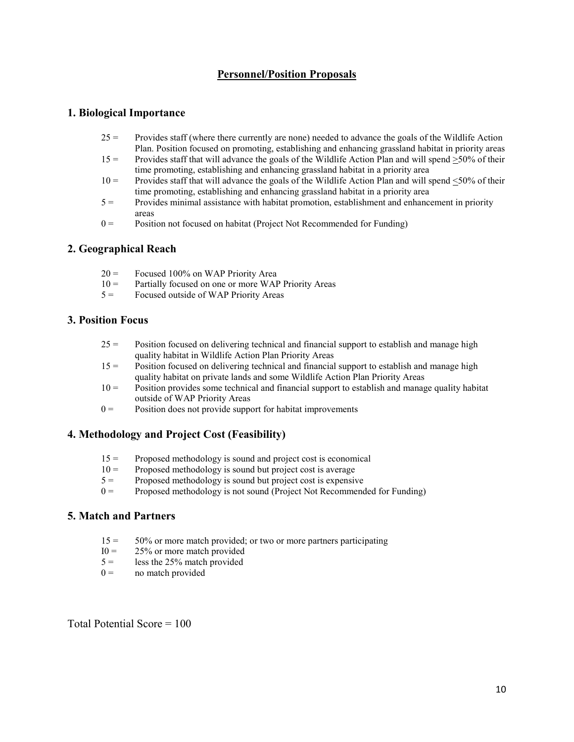### **Personnel/Position Proposals**

### **1. Biological Importance**

- $25 =$  Provides staff (where there currently are none) needed to advance the goals of the Wildlife Action Plan. Position focused on promoting, establishing and enhancing grassland habitat in priority areas
- 15 = Provides staff that will advance the goals of the Wildlife Action Plan and will spend  $\geq$ 50% of their time promoting, establishing and enhancing grassland habitat in a priority area
- 10 = Provides staff that will advance the goals of the Wildlife Action Plan and will spend  $\leq$ 50% of their time promoting, establishing and enhancing grassland habitat in a priority area
- 5 = Provides minimal assistance with habitat promotion, establishment and enhancement in priority areas
- $0 =$  Position not focused on habitat (Project Not Recommended for Funding)

### **2. Geographical Reach**

- 20 = Focused 100% on WAP Priority Area
- $10 =$  Partially focused on one or more WAP Priority Areas
- $5 =$  Focused outside of WAP Priority Areas

#### **3. Position Focus**

- $25 =$  Position focused on delivering technical and financial support to establish and manage high quality habitat in Wildlife Action Plan Priority Areas
- 15 = Position focused on delivering technical and financial support to establish and manage high quality habitat on private lands and some Wildlife Action Plan Priority Areas
- $10 =$  Position provides some technical and financial support to establish and manage quality habitat outside of WAP Priority Areas
- $0 =$  Position does not provide support for habitat improvements

### **4. Methodology and Project Cost (Feasibility)**

- $15 =$  Proposed methodology is sound and project cost is economical  $10 =$  Proposed methodology is sound but project cost is average
- Proposed methodology is sound but project cost is average
- $5 =$  Proposed methodology is sound but project cost is expensive<br> $0 =$  Proposed methodology is not sound (Project Not Recommend
- Proposed methodology is not sound (Project Not Recommended for Funding)

### **5. Match and Partners**

- $15 = 50\%$  or more match provided; or two or more partners participating  $10 = 25\%$  or more match provided
- $I0 = 25\%$  or more match provided<br> $5 =$  less the 25% match provided
- less the 25% match provided
- $0 =$  no match provided

Total Potential Score = 100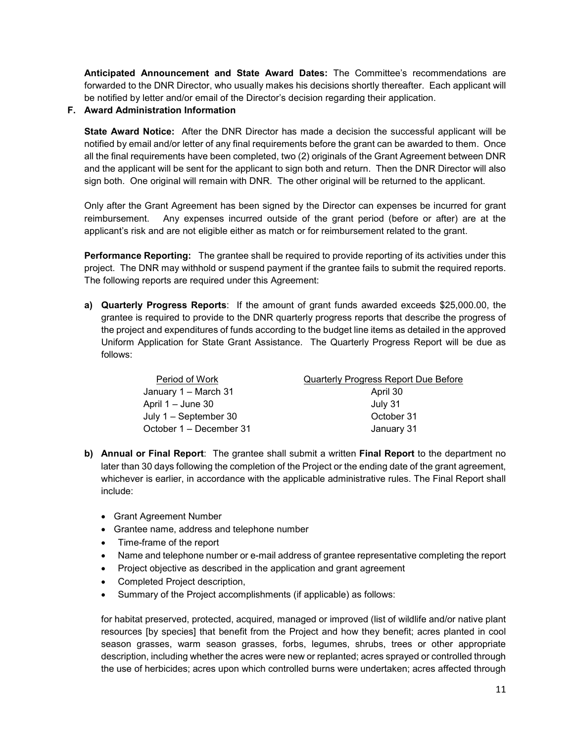**Anticipated Announcement and State Award Dates:** The Committee's recommendations are forwarded to the DNR Director, who usually makes his decisions shortly thereafter. Each applicant will be notified by letter and/or email of the Director's decision regarding their application.

### **F. Award Administration Information**

**State Award Notice:** After the DNR Director has made a decision the successful applicant will be notified by email and/or letter of any final requirements before the grant can be awarded to them. Once all the final requirements have been completed, two (2) originals of the Grant Agreement between DNR and the applicant will be sent for the applicant to sign both and return. Then the DNR Director will also sign both. One original will remain with DNR. The other original will be returned to the applicant.

Only after the Grant Agreement has been signed by the Director can expenses be incurred for grant reimbursement. Any expenses incurred outside of the grant period (before or after) are at the applicant's risk and are not eligible either as match or for reimbursement related to the grant.

**Performance Reporting:** The grantee shall be required to provide reporting of its activities under this project. The DNR may withhold or suspend payment if the grantee fails to submit the required reports. The following reports are required under this Agreement:

**a) Quarterly Progress Reports**: If the amount of grant funds awarded exceeds \$25,000.00, the grantee is required to provide to the DNR quarterly progress reports that describe the progress of the project and expenditures of funds according to the budget line items as detailed in the approved Uniform Application for State Grant Assistance. The Quarterly Progress Report will be due as follows:

| Period of Work          | <b>Quarterly Progress Report Due Before</b> |
|-------------------------|---------------------------------------------|
| January 1 – March 31    | April 30                                    |
| April $1 -$ June 30     | July 31                                     |
| July $1 -$ September 30 | October 31                                  |
| October 1 – December 31 | January 31                                  |

- **b) Annual or Final Report**: The grantee shall submit a written **Final Report** to the department no later than 30 days following the completion of the Project or the ending date of the grant agreement, whichever is earlier, in accordance with the applicable administrative rules. The Final Report shall include:
	- Grant Agreement Number
	- Grantee name, address and telephone number
	- Time-frame of the report
	- Name and telephone number or e-mail address of grantee representative completing the report
	- Project objective as described in the application and grant agreement
	- Completed Project description,
	- Summary of the Project accomplishments (if applicable) as follows:

for habitat preserved, protected, acquired, managed or improved (list of wildlife and/or native plant resources [by species] that benefit from the Project and how they benefit; acres planted in cool season grasses, warm season grasses, forbs, legumes, shrubs, trees or other appropriate description, including whether the acres were new or replanted; acres sprayed or controlled through the use of herbicides; acres upon which controlled burns were undertaken; acres affected through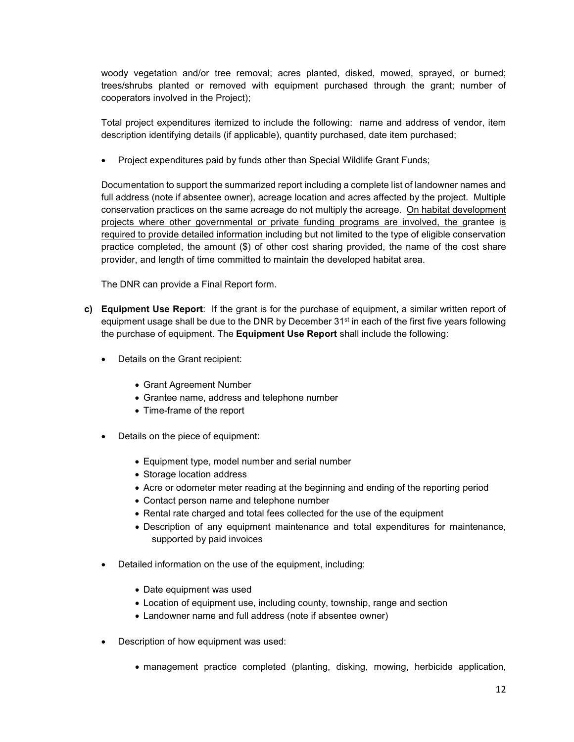woody vegetation and/or tree removal; acres planted, disked, mowed, sprayed, or burned; trees/shrubs planted or removed with equipment purchased through the grant; number of cooperators involved in the Project);

Total project expenditures itemized to include the following: name and address of vendor, item description identifying details (if applicable), quantity purchased, date item purchased;

• Project expenditures paid by funds other than Special Wildlife Grant Funds;

Documentation to support the summarized report including a complete list of landowner names and full address (note if absentee owner), acreage location and acres affected by the project. Multiple conservation practices on the same acreage do not multiply the acreage. On habitat development projects where other governmental or private funding programs are involved, the grantee is required to provide detailed information including but not limited to the type of eligible conservation practice completed, the amount (\$) of other cost sharing provided, the name of the cost share provider, and length of time committed to maintain the developed habitat area.

The DNR can provide a Final Report form.

- **c) Equipment Use Report**: If the grant is for the purchase of equipment, a similar written report of equipment usage shall be due to the DNR by December  $31<sup>st</sup>$  in each of the first five years following the purchase of equipment. The **Equipment Use Report** shall include the following:
	- Details on the Grant recipient:
		- Grant Agreement Number
		- Grantee name, address and telephone number
		- Time-frame of the report
	- Details on the piece of equipment:
		- Equipment type, model number and serial number
		- Storage location address
		- Acre or odometer meter reading at the beginning and ending of the reporting period
		- Contact person name and telephone number
		- Rental rate charged and total fees collected for the use of the equipment
		- Description of any equipment maintenance and total expenditures for maintenance, supported by paid invoices
	- Detailed information on the use of the equipment, including:
		- Date equipment was used
		- Location of equipment use, including county, township, range and section
		- Landowner name and full address (note if absentee owner)
	- Description of how equipment was used:
		- management practice completed (planting, disking, mowing, herbicide application,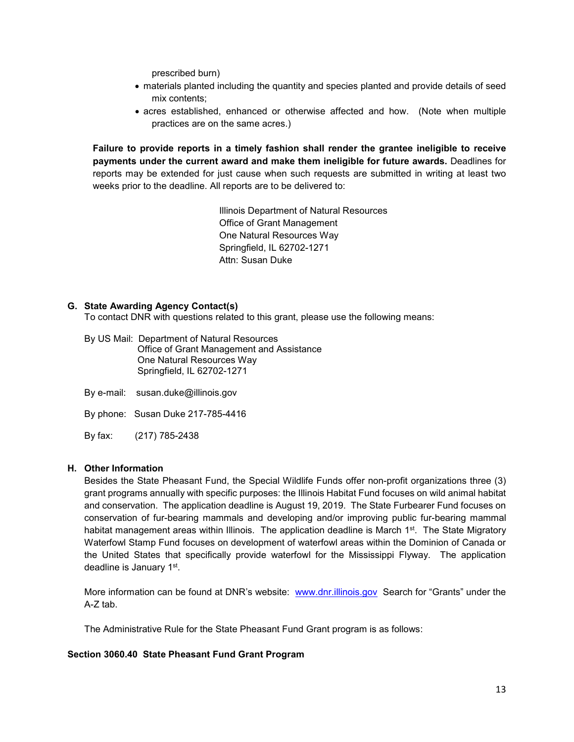prescribed burn)

- materials planted including the quantity and species planted and provide details of seed mix contents;
- acres established, enhanced or otherwise affected and how. (Note when multiple practices are on the same acres.)

**Failure to provide reports in a timely fashion shall render the grantee ineligible to receive payments under the current award and make them ineligible for future awards.** Deadlines for reports may be extended for just cause when such requests are submitted in writing at least two weeks prior to the deadline. All reports are to be delivered to:

> Illinois Department of Natural Resources Office of Grant Management One Natural Resources Way Springfield, IL 62702-1271 Attn: Susan Duke

#### **G. State Awarding Agency Contact(s)**

To contact DNR with questions related to this grant, please use the following means:

| By US Mail: Department of Natural Resources<br>Office of Grant Management and Assistance<br>One Natural Resources Way<br>Springfield, IL 62702-1271 |
|-----------------------------------------------------------------------------------------------------------------------------------------------------|
| By e-mail: $susan.duke@illinois.gov$                                                                                                                |

By phone: Susan Duke 217-785-4416

By fax: (217) 785-2438

#### **H. Other Information**

Besides the State Pheasant Fund, the Special Wildlife Funds offer non-profit organizations three (3) grant programs annually with specific purposes: the Illinois Habitat Fund focuses on wild animal habitat and conservation. The application deadline is August 19, 2019. The State Furbearer Fund focuses on conservation of fur-bearing mammals and developing and/or improving public fur-bearing mammal habitat management areas within Illinois. The application deadline is March  $1<sup>st</sup>$ . The State Migratory Waterfowl Stamp Fund focuses on development of waterfowl areas within the Dominion of Canada or the United States that specifically provide waterfowl for the Mississippi Flyway. The application deadline is January 1st.

More information can be found at DNR's website: www.dnr.illinois.gov Search for "Grants" under the A-Z tab.

The Administrative Rule for the State Pheasant Fund Grant program is as follows:

#### **Section 3060.40 State Pheasant Fund Grant Program**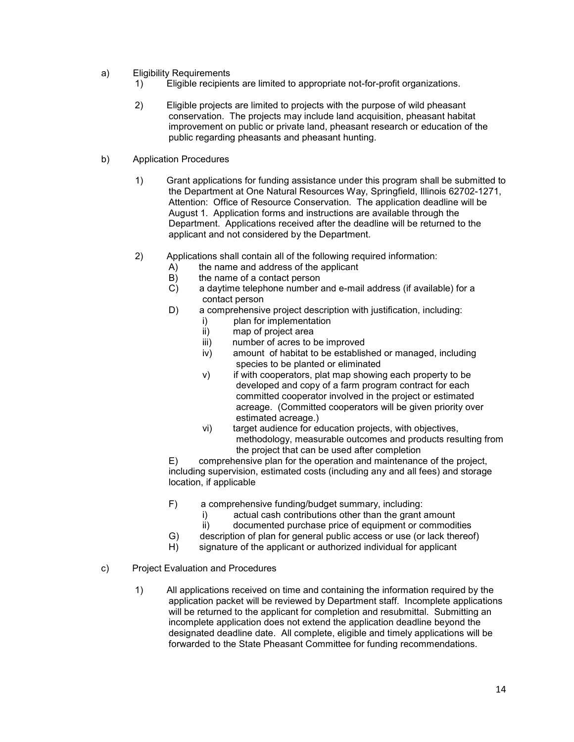- a) Eligibility Requirements
	- 1) Eligible recipients are limited to appropriate not-for-profit organizations.
	- 2) Eligible projects are limited to projects with the purpose of wild pheasant conservation. The projects may include land acquisition, pheasant habitat improvement on public or private land, pheasant research or education of the public regarding pheasants and pheasant hunting.
- b) Application Procedures
	- 1) Grant applications for funding assistance under this program shall be submitted to the Department at One Natural Resources Way, Springfield, Illinois 62702-1271, Attention: Office of Resource Conservation. The application deadline will be August 1. Application forms and instructions are available through the Department. Applications received after the deadline will be returned to the applicant and not considered by the Department.
	- 2) Applications shall contain all of the following required information:
		- A) the name and address of the applicant
		- B) the name of a contact person<br>C) a daytime telephone number a
		- a daytime telephone number and e-mail address (if available) for a contact person
		- D) a comprehensive project description with justification, including:
			- i) plan for implementation
			- ii) map of project area
			- iii) number of acres to be improved
			- iv) amount of habitat to be established or managed, including species to be planted or eliminated
			- v) if with cooperators, plat map showing each property to be developed and copy of a farm program contract for each committed cooperator involved in the project or estimated acreage. (Committed cooperators will be given priority over estimated acreage.)
			- vi) target audience for education projects, with objectives, methodology, measurable outcomes and products resulting from the project that can be used after completion

E) comprehensive plan for the operation and maintenance of the project, including supervision, estimated costs (including any and all fees) and storage location, if applicable

- F) a comprehensive funding/budget summary, including:
	- i) actual cash contributions other than the grant amount<br>ii) documented purchase price of equipment or commodit
	- documented purchase price of equipment or commodities
- G) description of plan for general public access or use (or lack thereof)
- H) signature of the applicant or authorized individual for applicant
- c) Project Evaluation and Procedures
	- 1) All applications received on time and containing the information required by the application packet will be reviewed by Department staff. Incomplete applications will be returned to the applicant for completion and resubmittal. Submitting an incomplete application does not extend the application deadline beyond the designated deadline date. All complete, eligible and timely applications will be forwarded to the State Pheasant Committee for funding recommendations.